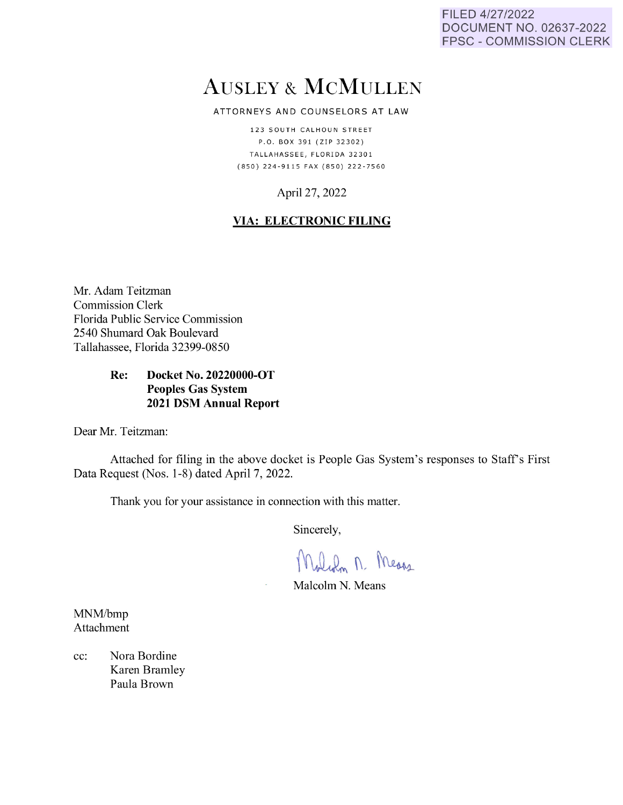FILED 4/27/2022 DOCUMENT NO. 02637-2022 **FPSC - COMMISSION CLERK** 

# **AUSLEY & MCMULLEN**

#### ATTORNEYS AND COUNSELORS AT LAW

123 SOUTH CALHOUN STREET P.O. BOX 391 (ZIP 32302) TALLAHASSEE, FLORIDA 32301 (850) 224-9115 FAX (850) 222-7560

## April 27, 2022

### **VIA: ELECTRONIC FILING**

Mr. Adam Teitzman **Commission Clerk** Florida Public Service Commission 2540 Shumard Oak Boulevard Tallahassee, Florida 32399-0850

#### Re: Docket No. 20220000-OT **Peoples Gas System 2021 DSM Annual Report**

Dear Mr. Teitzman:

Attached for filing in the above docket is People Gas System's responses to Staff's First Data Request (Nos. 1-8) dated April 7, 2022.

Thank you for your assistance in connection with this matter.

Sincerely,

Malch n. Means

Malcolm N. Means

MNM/bmp Attachment

Nora Bordine  $cc$ : Karen Bramley Paula Brown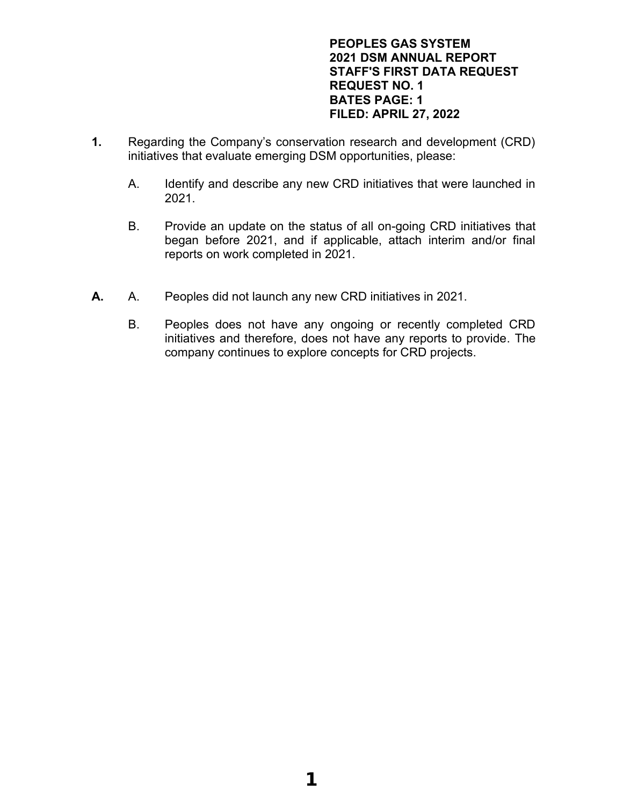#### **PEOPLES GAS SYSTEM 2021 DSM ANNUAL REPORT STAFF'S FIRST DATA REQUEST REQUEST NO. 1 BATES PAGE: 1 FILED: APRIL 27, 2022**

- **1.** Regarding the Company's conservation research and development (CRD) initiatives that evaluate emerging DSM opportunities, please:
	- A. Identify and describe any new CRD initiatives that were launched in 2021.
	- B. Provide an update on the status of all on-going CRD initiatives that began before 2021, and if applicable, attach interim and/or final reports on work completed in 2021.
- **A.** A. Peoples did not launch any new CRD initiatives in 2021.
	- B. Peoples does not have any ongoing or recently completed CRD initiatives and therefore, does not have any reports to provide. The company continues to explore concepts for CRD projects.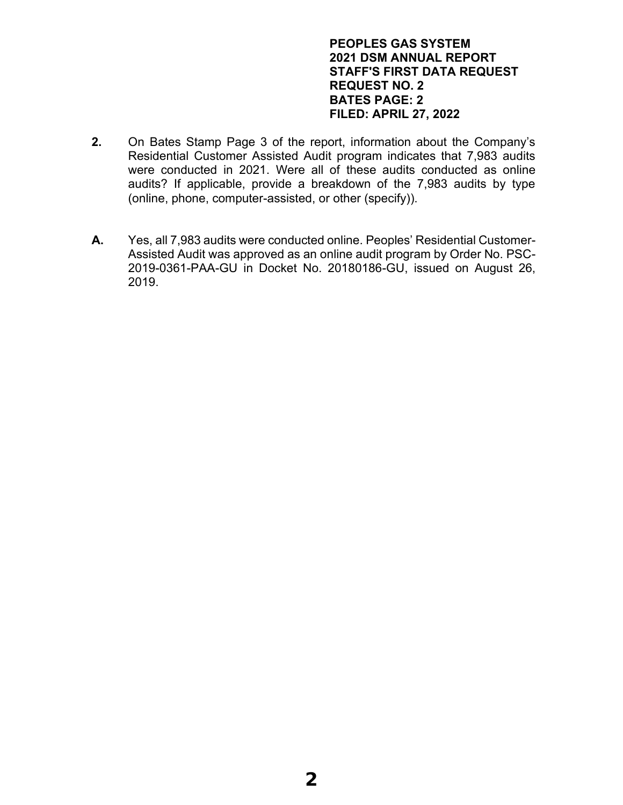#### **PEOPLES GAS SYSTEM 2021 DSM ANNUAL REPORT STAFF'S FIRST DATA REQUEST REQUEST NO. 2 BATES PAGE: 2 FILED: APRIL 27, 2022**

- **2.** On Bates Stamp Page 3 of the report, information about the Company's Residential Customer Assisted Audit program indicates that 7,983 audits were conducted in 2021. Were all of these audits conducted as online audits? If applicable, provide a breakdown of the 7,983 audits by type (online, phone, computer-assisted, or other (specify)).
- **A.** Yes, all 7,983 audits were conducted online. Peoples' Residential Customer-Assisted Audit was approved as an online audit program by Order No. PSC-2019-0361-PAA-GU in Docket No. 20180186-GU, issued on August 26, 2019.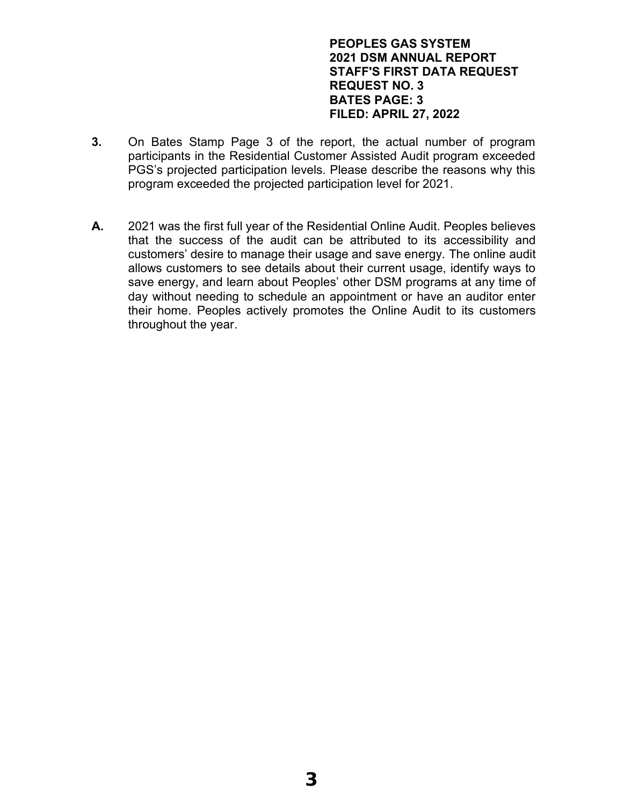#### **PEOPLES GAS SYSTEM 2021 DSM ANNUAL REPORT STAFF'S FIRST DATA REQUEST REQUEST NO. 3 BATES PAGE: 3 FILED: APRIL 27, 2022**

- **3.** On Bates Stamp Page 3 of the report, the actual number of program participants in the Residential Customer Assisted Audit program exceeded PGS's projected participation levels. Please describe the reasons why this program exceeded the projected participation level for 2021.
- **A.** 2021 was the first full year of the Residential Online Audit. Peoples believes that the success of the audit can be attributed to its accessibility and customers' desire to manage their usage and save energy. The online audit allows customers to see details about their current usage, identify ways to save energy, and learn about Peoples' other DSM programs at any time of day without needing to schedule an appointment or have an auditor enter their home. Peoples actively promotes the Online Audit to its customers throughout the year.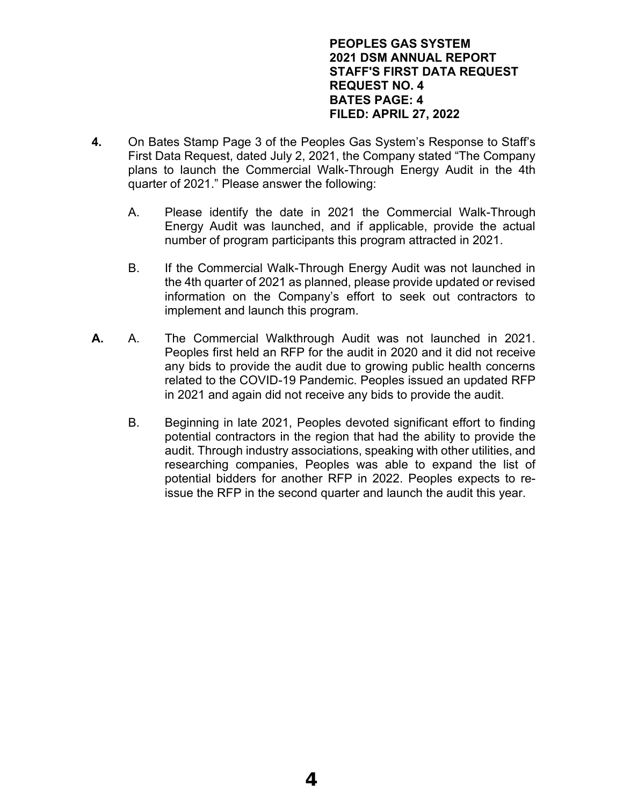#### **PEOPLES GAS SYSTEM 2021 DSM ANNUAL REPORT STAFF'S FIRST DATA REQUEST REQUEST NO. 4 BATES PAGE: 4 FILED: APRIL 27, 2022**

- **4.** On Bates Stamp Page 3 of the Peoples Gas System's Response to Staff's First Data Request, dated July 2, 2021, the Company stated "The Company plans to launch the Commercial Walk-Through Energy Audit in the 4th quarter of 2021." Please answer the following:
	- A. Please identify the date in 2021 the Commercial Walk-Through Energy Audit was launched, and if applicable, provide the actual number of program participants this program attracted in 2021.
	- B. If the Commercial Walk-Through Energy Audit was not launched in the 4th quarter of 2021 as planned, please provide updated or revised information on the Company's effort to seek out contractors to implement and launch this program.
- **A.** A. The Commercial Walkthrough Audit was not launched in 2021. Peoples first held an RFP for the audit in 2020 and it did not receive any bids to provide the audit due to growing public health concerns related to the COVID-19 Pandemic. Peoples issued an updated RFP in 2021 and again did not receive any bids to provide the audit.
	- B. Beginning in late 2021, Peoples devoted significant effort to finding potential contractors in the region that had the ability to provide the audit. Through industry associations, speaking with other utilities, and researching companies, Peoples was able to expand the list of potential bidders for another RFP in 2022. Peoples expects to reissue the RFP in the second quarter and launch the audit this year.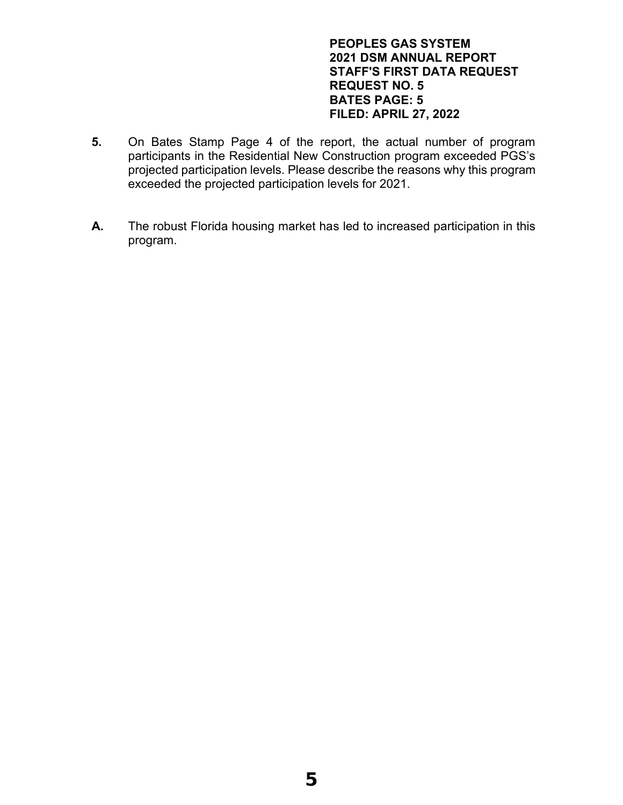#### **PEOPLES GAS SYSTEM 2021 DSM ANNUAL REPORT STAFF'S FIRST DATA REQUEST REQUEST NO. 5 BATES PAGE: 5 FILED: APRIL 27, 2022**

- **5.** On Bates Stamp Page 4 of the report, the actual number of program participants in the Residential New Construction program exceeded PGS's projected participation levels. Please describe the reasons why this program exceeded the projected participation levels for 2021.
- **A.** The robust Florida housing market has led to increased participation in this program.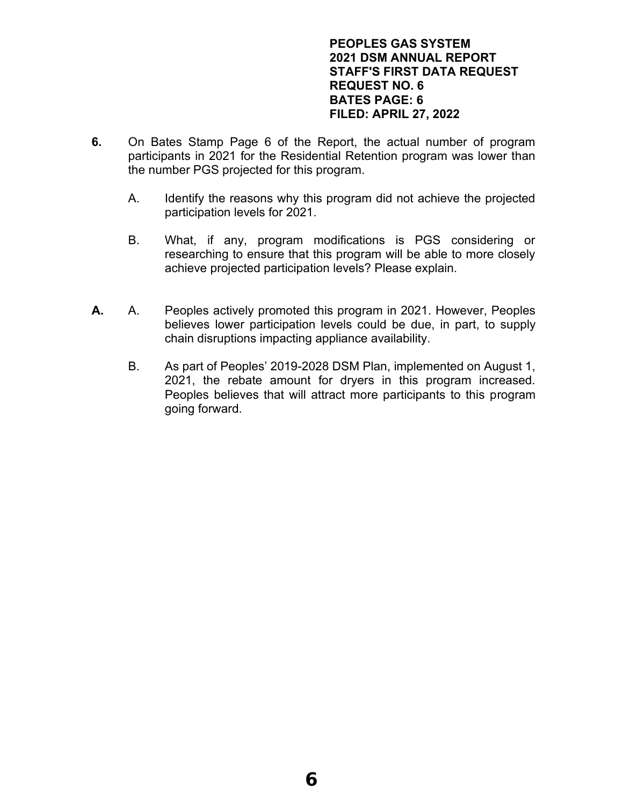#### **PEOPLES GAS SYSTEM 2021 DSM ANNUAL REPORT STAFF'S FIRST DATA REQUEST REQUEST NO. 6 BATES PAGE: 6 FILED: APRIL 27, 2022**

- **6.** On Bates Stamp Page 6 of the Report, the actual number of program participants in 2021 for the Residential Retention program was lower than the number PGS projected for this program.
	- A. Identify the reasons why this program did not achieve the projected participation levels for 2021.
	- B. What, if any, program modifications is PGS considering or researching to ensure that this program will be able to more closely achieve projected participation levels? Please explain.
- **A.** A. Peoples actively promoted this program in 2021. However, Peoples believes lower participation levels could be due, in part, to supply chain disruptions impacting appliance availability.
	- B. As part of Peoples' 2019-2028 DSM Plan, implemented on August 1, 2021, the rebate amount for dryers in this program increased. Peoples believes that will attract more participants to this program going forward.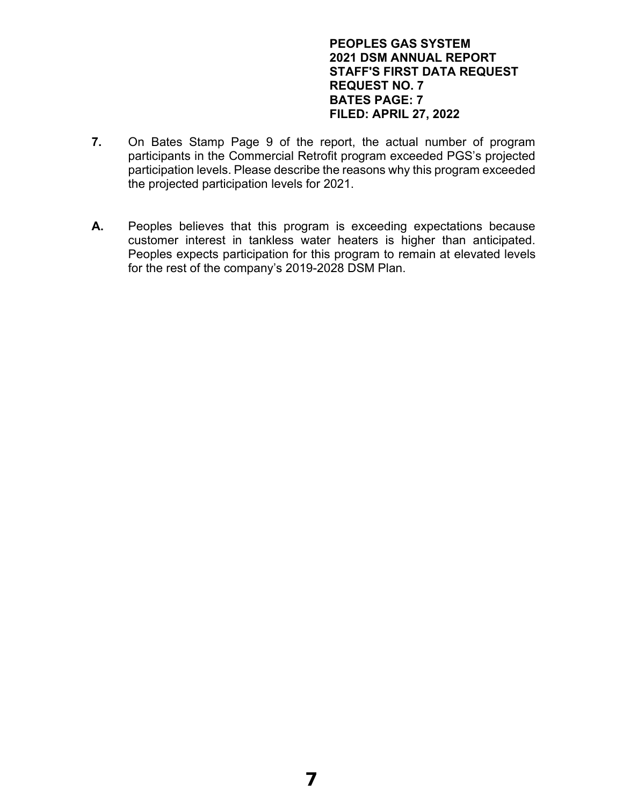#### **PEOPLES GAS SYSTEM 2021 DSM ANNUAL REPORT STAFF'S FIRST DATA REQUEST REQUEST NO. 7 BATES PAGE: 7 FILED: APRIL 27, 2022**

- **7.** On Bates Stamp Page 9 of the report, the actual number of program participants in the Commercial Retrofit program exceeded PGS's projected participation levels. Please describe the reasons why this program exceeded the projected participation levels for 2021.
- **A.** Peoples believes that this program is exceeding expectations because customer interest in tankless water heaters is higher than anticipated. Peoples expects participation for this program to remain at elevated levels for the rest of the company's 2019-2028 DSM Plan.